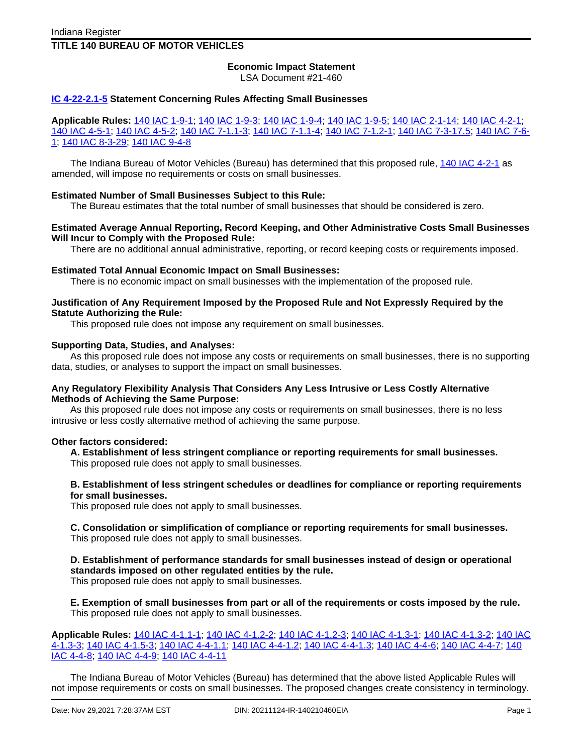# **TITLE 140 BUREAU OF MOTOR VEHICLES**

# **Economic Impact Statement**

LSA Document #21-460

#### **IC [4-22-2.1-5](http://www.in.gov/legislative/iac/ic?t=4&a=22&c=2.1&s=5) Statement Concerning Rules Affecting Small Businesses**

**Applicable Rules:** 140 IAC [1-9-1;](http://www.in.gov/legislative/iac/iac_title?iact=140&iaca=1) 140 IAC [1-9-3;](http://www.in.gov/legislative/iac/iac_title?iact=140&iaca=1) 140 IAC [1-9-4;](http://www.in.gov/legislative/iac/iac_title?iact=140&iaca=1) 140 IAC [1-9-5](http://www.in.gov/legislative/iac/iac_title?iact=140&iaca=1); 140 IAC [2-1-14;](http://www.in.gov/legislative/iac/iac_title?iact=140&iaca=2) 140 IAC [4-2-1;](http://www.in.gov/legislative/iac/iac_title?iact=140&iaca=4) 140 IAC [4-5-1](http://www.in.gov/legislative/iac/iac_title?iact=140&iaca=4); 140 IAC [4-5-2](http://www.in.gov/legislative/iac/iac_title?iact=140&iaca=4); 140 IAC [7-1.1-3](http://www.in.gov/legislative/iac/iac_title?iact=140&iaca=7); 140 IAC [7-1.1-4](http://www.in.gov/legislative/iac/iac_title?iact=140&iaca=7); 140 IAC [7-1.2-1;](http://www.in.gov/legislative/iac/iac_title?iact=140&iaca=7) 140 IAC [7-3-17.5](http://www.in.gov/legislative/iac/iac_title?iact=140&iaca=7); 140 IAC [7-6-](http://www.in.gov/legislative/iac/iac_title?iact=140&iaca=7) [1;](http://www.in.gov/legislative/iac/iac_title?iact=140&iaca=7) 140 IAC [8-3-29;](http://www.in.gov/legislative/iac/iac_title?iact=140&iaca=8) 140 IAC [9-4-8](http://www.in.gov/legislative/iac/iac_title?iact=140&iaca=9)

The Indiana Bureau of Motor Vehicles (Bureau) has determined that this proposed rule, 140 IAC [4-2-1](http://www.in.gov/legislative/iac/iac_title?iact=140&iaca=4) as amended, will impose no requirements or costs on small businesses.

#### **Estimated Number of Small Businesses Subject to this Rule:**

The Bureau estimates that the total number of small businesses that should be considered is zero.

#### **Estimated Average Annual Reporting, Record Keeping, and Other Administrative Costs Small Businesses Will Incur to Comply with the Proposed Rule:**

There are no additional annual administrative, reporting, or record keeping costs or requirements imposed.

#### **Estimated Total Annual Economic Impact on Small Businesses:**

There is no economic impact on small businesses with the implementation of the proposed rule.

#### **Justification of Any Requirement Imposed by the Proposed Rule and Not Expressly Required by the Statute Authorizing the Rule:**

This proposed rule does not impose any requirement on small businesses.

#### **Supporting Data, Studies, and Analyses:**

As this proposed rule does not impose any costs or requirements on small businesses, there is no supporting data, studies, or analyses to support the impact on small businesses.

#### **Any Regulatory Flexibility Analysis That Considers Any Less Intrusive or Less Costly Alternative Methods of Achieving the Same Purpose:**

As this proposed rule does not impose any costs or requirements on small businesses, there is no less intrusive or less costly alternative method of achieving the same purpose.

#### **Other factors considered:**

**A. Establishment of less stringent compliance or reporting requirements for small businesses.** This proposed rule does not apply to small businesses.

#### **B. Establishment of less stringent schedules or deadlines for compliance or reporting requirements for small businesses.**

This proposed rule does not apply to small businesses.

**C. Consolidation or simplification of compliance or reporting requirements for small businesses.** This proposed rule does not apply to small businesses.

# **D. Establishment of performance standards for small businesses instead of design or operational standards imposed on other regulated entities by the rule.**

This proposed rule does not apply to small businesses.

**E. Exemption of small businesses from part or all of the requirements or costs imposed by the rule.** This proposed rule does not apply to small businesses.

**Applicable Rules:** 140 IAC [4-1.1-1](http://www.in.gov/legislative/iac/iac_title?iact=140&iaca=4); 140 IAC [4-1.2-2](http://www.in.gov/legislative/iac/iac_title?iact=140&iaca=4); 140 IAC [4-1.2-3;](http://www.in.gov/legislative/iac/iac_title?iact=140&iaca=4) 140 IAC [4-1.3-1;](http://www.in.gov/legislative/iac/iac_title?iact=140&iaca=4) 140 IAC [4-1.3-2;](http://www.in.gov/legislative/iac/iac_title?iact=140&iaca=4) [140](http://www.in.gov/legislative/iac/iac_title?iact=140&iaca=4) IAC [4-1.3-3;](http://www.in.gov/legislative/iac/iac_title?iact=140&iaca=4) 140 IAC [4-1.5-3;](http://www.in.gov/legislative/iac/iac_title?iact=140&iaca=4) 140 IAC [4-4-1.1;](http://www.in.gov/legislative/iac/iac_title?iact=140&iaca=4) 140 IAC [4-4-1.2](http://www.in.gov/legislative/iac/iac_title?iact=140&iaca=4); 140 IAC [4-4-1.3](http://www.in.gov/legislative/iac/iac_title?iact=140&iaca=4); 140 IAC [4-4-6](http://www.in.gov/legislative/iac/iac_title?iact=140&iaca=4); 140 IAC [4-4-7;](http://www.in.gov/legislative/iac/iac_title?iact=140&iaca=4) [140](http://www.in.gov/legislative/iac/iac_title?iact=140&iaca=4) IAC [4-4-8;](http://www.in.gov/legislative/iac/iac_title?iact=140&iaca=4) 140 IAC [4-4-9;](http://www.in.gov/legislative/iac/iac_title?iact=140&iaca=4) 140 IAC [4-4-11](http://www.in.gov/legislative/iac/iac_title?iact=140&iaca=4)

The Indiana Bureau of Motor Vehicles (Bureau) has determined that the above listed Applicable Rules will not impose requirements or costs on small businesses. The proposed changes create consistency in terminology.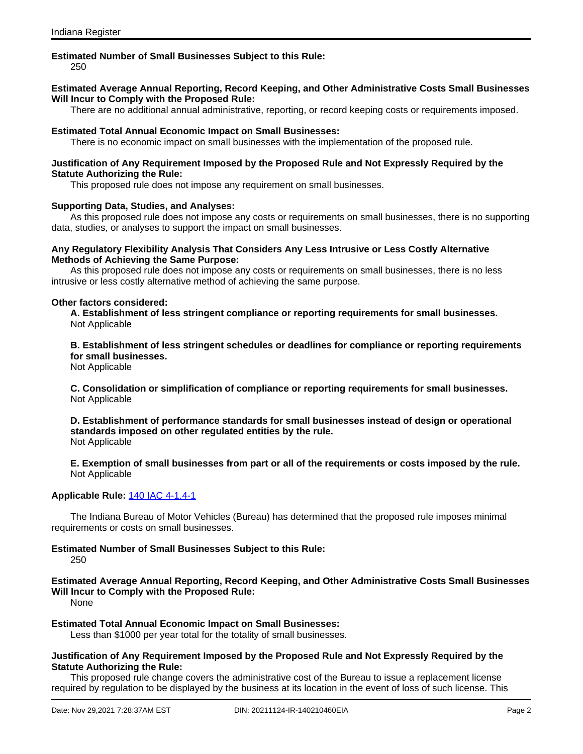#### **Estimated Number of Small Businesses Subject to this Rule:**

250

### **Estimated Average Annual Reporting, Record Keeping, and Other Administrative Costs Small Businesses Will Incur to Comply with the Proposed Rule:**

There are no additional annual administrative, reporting, or record keeping costs or requirements imposed.

#### **Estimated Total Annual Economic Impact on Small Businesses:**

There is no economic impact on small businesses with the implementation of the proposed rule.

#### **Justification of Any Requirement Imposed by the Proposed Rule and Not Expressly Required by the Statute Authorizing the Rule:**

This proposed rule does not impose any requirement on small businesses.

#### **Supporting Data, Studies, and Analyses:**

As this proposed rule does not impose any costs or requirements on small businesses, there is no supporting data, studies, or analyses to support the impact on small businesses.

#### **Any Regulatory Flexibility Analysis That Considers Any Less Intrusive or Less Costly Alternative Methods of Achieving the Same Purpose:**

As this proposed rule does not impose any costs or requirements on small businesses, there is no less intrusive or less costly alternative method of achieving the same purpose.

#### **Other factors considered:**

**A. Establishment of less stringent compliance or reporting requirements for small businesses.** Not Applicable

**B. Establishment of less stringent schedules or deadlines for compliance or reporting requirements for small businesses.**

Not Applicable

**C. Consolidation or simplification of compliance or reporting requirements for small businesses.** Not Applicable

**D. Establishment of performance standards for small businesses instead of design or operational standards imposed on other regulated entities by the rule.** Not Applicable

**E. Exemption of small businesses from part or all of the requirements or costs imposed by the rule.** Not Applicable

# **Applicable Rule:** 140 IAC [4-1.4-1](http://www.in.gov/legislative/iac/iac_title?iact=140&iaca=4)

The Indiana Bureau of Motor Vehicles (Bureau) has determined that the proposed rule imposes minimal requirements or costs on small businesses.

# **Estimated Number of Small Businesses Subject to this Rule:**

250

**Estimated Average Annual Reporting, Record Keeping, and Other Administrative Costs Small Businesses Will Incur to Comply with the Proposed Rule:**

None

**Estimated Total Annual Economic Impact on Small Businesses:**

Less than \$1000 per year total for the totality of small businesses.

### **Justification of Any Requirement Imposed by the Proposed Rule and Not Expressly Required by the Statute Authorizing the Rule:**

This proposed rule change covers the administrative cost of the Bureau to issue a replacement license required by regulation to be displayed by the business at its location in the event of loss of such license. This